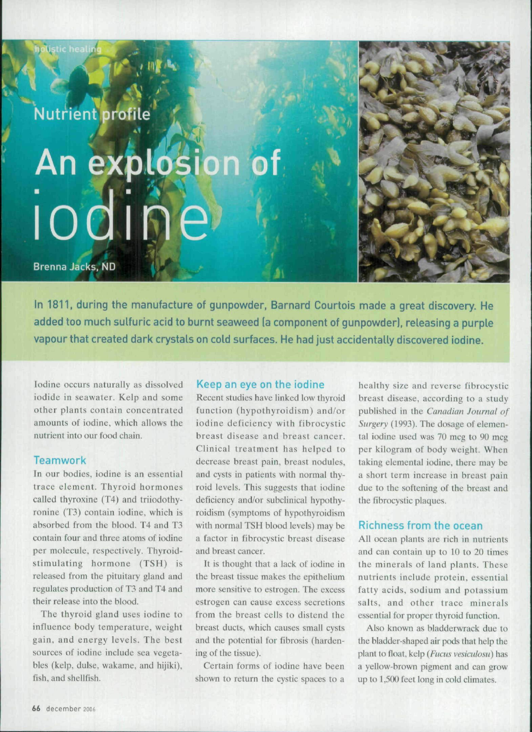**Nutrient profile** 

# An explosion of *lodine*

**Brenna Jacks, ND** 

In 1811, during the manufacture of gunpowder, Barnard Courtois made a great discovery. He added too much sulfuric acid to burnt seaweed (a component of gunpowder), releasing a purple vapour that created dark crystals on cold surfaces. He had just accidentally discovered iodine.

Iodine occurs naturally as dissolved iodide in seawater. Kelp and some other plants contain concentrated amounts of iodine, which allows the nutrient into our food chain.

# **Teamwork**

Tn our bodies, iodine is an essential trace element. Thyroid hormones called thyroxine (T4) and triiodothyronine (T3) contain iodine, which is absorbed from the blood. T4 and T3 contain four and three atoms of iodine per molecule, respectively. Thyroidstimulating hormone (TSH) is released from the pituitary gland and regulates production of T3 and T4 and their release into the blood.

The thyroid gland uses iodine to influence body temperature, weight gain, and energy levels. The best sources of iodine include sea vegetables (kelp, dulse, wakame, and hijiki), fish, and shellfish.

### Keep an eye on the iodine

Recent studies have linked low thyroid function (hypothyroidism) and/or iodine defieieney with fibrocystic breast disease and breast cancer. Clinical treatment has helped to decrease breast pain, breast nodules, and cysts in patients with normal thyroid levels. This suggests that iodine deficiency and/or subclinical hypothyroidism {symptoms of hypothyroidism with normal TSH blood levels) may be a factor in fibrocystic breast disease and breast cancer.

It is thought that a laek of iodine in the breast tissue makes the epithelium more sensitive to estrogen. The excess estrogen ean cause excess secretions from the breast cells to distend the breast ducts, which causes small cysts and the potential for fibrosis {hardening of the tissue).

Certain forms of iodine have been shown to return the cystic spaces to a

healthy size and reverse fibrocystic breast disease, according to a study published in the *Canadian Journal of Surgery* {1993). The dosage of elemental iodine used was  $70 \text{ m}$ eg to  $90 \text{ m}$ eg per kilogram of body weight. When taking elemental iodine, there may be a short term increase in breast pain due to the softening of the breast and the fibrocystic plaques.

# Richness from the ocean

All ocean plants are rich in nutrients and can contain up to 10 to 20 times the minerals of land plants. These nutrients include protein, essential fatty acids, sodium and potassium salts, and other trace minerals essential for proper thyroid function.

Also known as bladdenvrack due to the bladder-shaped air pods that help the plant to float, kelp *(Fitcus vesicidosu)* has a yellow-brown pigment and can grow up to 1,500 feet long in cold climates.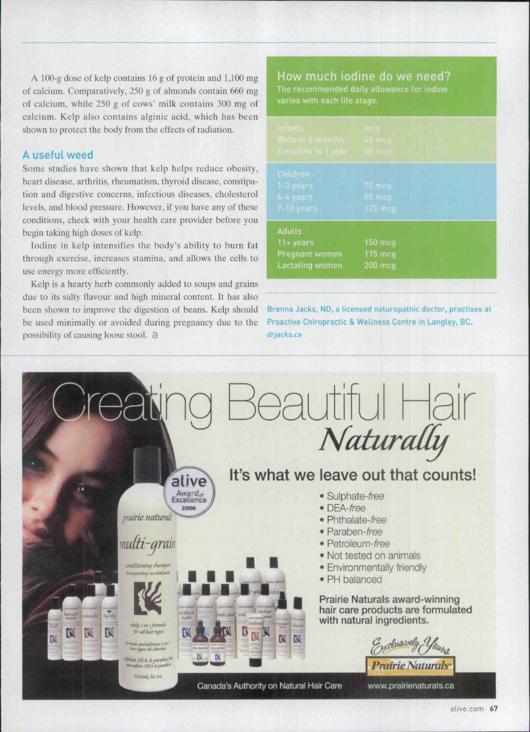A 100-g dose of kelp contains 16 g of protein and  $1,100$  mg of calcium. Comparatively, 250 g of almonds contain 660 mg of calcium, while 250 g of cows' milk contains 300 mg of calcium. Kelp also contains alginic acid, which has been shown to protect the body from the eflects of radiation.

# A useful weed

Some studies have shown that kelp helps reduce obesity, heart disease, arthritis, rheumatism, thyroid disease, constipation and digestive concerns, infectious diseases, cholesterol levels, and blood pressure. However, if you have any of these conditions, check with your health care provider before you begin taking high doses of kelp.

Iodine in kelp intensifies the body's ability to burn fat tbrough exercise, increases stamina, and allows the cells to use energy more efficiently.

Kelp is a hearty herb commonly added to soups and grains due to its salty flavour and high mineral content. It has also been shown to improve the digestion of beans. Kelp should be used minimally or avoided during pregnancy due to the possibility of causing loose stool. a

How much iodine do we need? varies with each life stage.

| <b>Infants</b><br>Birth to 6 months<br>6 months to 1 year                 | <b>TITES</b><br>40 m.co<br>50 mcg |
|---------------------------------------------------------------------------|-----------------------------------|
| Children<br>1-3 years<br>4-6 years<br>$7-10$ years                        | $70$ mcq<br>90 mcg<br>120 mcg     |
| <b>Adults</b><br>$11 + years$<br>Pregnant women<br><b>Lactating women</b> | 150 mcg<br>175 mcg<br>200 mcg     |

Brenna Jacks, ND, a licensed naturopathic doctor, practises at Proactive Chiropractic & Wellness Centre in Langley, BC. drjacks.ca